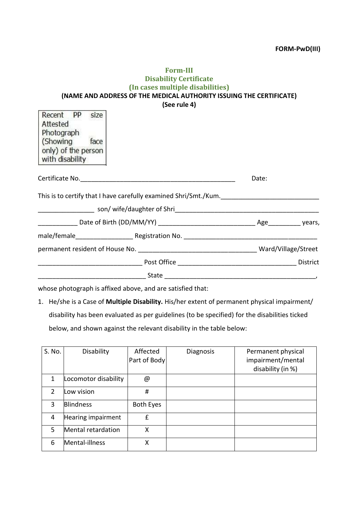## **Form-III Disability Certificate (In cases multiple disabilities) (NAME AND ADDRESS OF THE MEDICAL AUTHORITY ISSUING THE CERTIFICATE) (See rule 4)**

|                                                                              |                                                                  |       | District |
|------------------------------------------------------------------------------|------------------------------------------------------------------|-------|----------|
|                                                                              |                                                                  |       |          |
|                                                                              |                                                                  |       |          |
|                                                                              |                                                                  |       |          |
|                                                                              |                                                                  |       |          |
|                                                                              |                                                                  |       |          |
|                                                                              | This is to certify that I have carefully examined Shri/Smt./Kum. | Date: |          |
| Attested<br>Photograph<br>(Showing<br>only) of the person<br>with disability | Recent PP size<br>face                                           |       |          |

whose photograph is affixed above, and are satisfied that:

1. He/she is a Case of **Multiple Disability.** His/her extent of permanent physical impairment/ disability has been evaluated as per guidelines (to be specified) for the disabilities ticked below, and shown against the relevant disability in the table below:

| S. No.        | Disability           | Affected<br>Part of Body | <b>Diagnosis</b> | Permanent physical<br>impairment/mental<br>disability (in %) |
|---------------|----------------------|--------------------------|------------------|--------------------------------------------------------------|
|               | Locomotor disability | @                        |                  |                                                              |
| $\mathcal{P}$ | Low vision           | #                        |                  |                                                              |
| 3             | <b>Blindness</b>     | <b>Both Eyes</b>         |                  |                                                              |
| 4             | Hearing impairment   | £                        |                  |                                                              |
| 5             | Mental retardation   | X                        |                  |                                                              |
| 6             | Mental-illness       | Χ                        |                  |                                                              |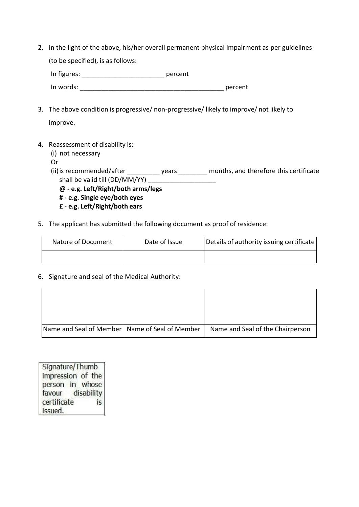2. In the light of the above, his/her overall permanent physical impairment as per guidelines

(to be specified), is as follows:

In figures: \_\_\_\_\_\_\_\_\_\_\_\_\_\_\_\_\_\_\_\_\_\_\_ percent In words: The contract of the contract of the contract of the contract of the percent 3. The above condition is progressive/ non-progressive/ likely to improve/ not likely to improve. 4. Reassessment of disability is: (i) not necessary Or (ii) is recommended/after \_\_\_\_\_\_\_\_\_\_\_ years \_\_\_\_\_\_\_\_ months, and therefore this certificate shall be valid till (DD/MM/YY) \_\_\_\_\_\_\_\_\_\_\_\_\_\_\_\_\_\_\_ **@ - e.g. Left/Right/both arms/legs # - e.g. Single eye/both eyes** 

- **£ e.g. Left/Right/both ears**
- 5. The applicant has submitted the following document as proof of residence:

| Nature of Document | Details of authority issuing certificate<br>Date of Issue |  |
|--------------------|-----------------------------------------------------------|--|
|                    |                                                           |  |

6. Signature and seal of the Medical Authority:

| Name and Seal of Member Name of Seal of Member | Name and Seal of the Chairperson |
|------------------------------------------------|----------------------------------|

Signature/Thumb impression of the person in whose favour disability certificate is. issued.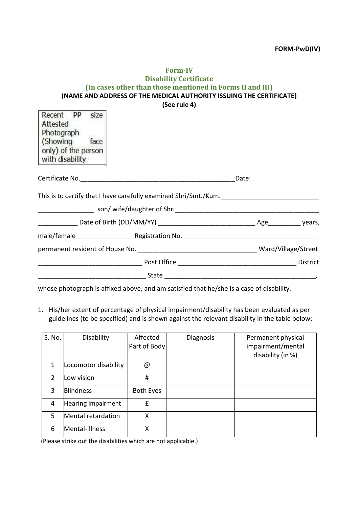| <b>Form-IV</b>                                                      |
|---------------------------------------------------------------------|
| <b>Disability Certificate</b>                                       |
| (In cases other than those mentioned in Forms II and III)           |
| (NAME AND ADDRESS OF THE MEDICAL AUTHORITY ISSUING THE CERTIFICATE) |
| (See rule 4)                                                        |

| Recent PP size<br>Attested<br>Photograph<br>(Showing<br>face<br>only) of the person<br>with disability |                                                                  |       |                 |
|--------------------------------------------------------------------------------------------------------|------------------------------------------------------------------|-------|-----------------|
|                                                                                                        |                                                                  | Date: |                 |
|                                                                                                        | This is to certify that I have carefully examined Shri/Smt./Kum. |       |                 |
|                                                                                                        |                                                                  |       |                 |
|                                                                                                        |                                                                  |       |                 |
|                                                                                                        |                                                                  |       |                 |
|                                                                                                        |                                                                  |       |                 |
|                                                                                                        |                                                                  |       | <b>District</b> |
|                                                                                                        |                                                                  |       |                 |

whose photograph is affixed above, and am satisfied that he/she is a case of disability.

1. His/her extent of percentage of physical impairment/disability has been evaluated as per guidelines (to be specified) and is shown against the relevant disability in the table below:

| S. No.        | Disability           | Affected<br>Part of Body | Diagnosis | Permanent physical<br>impairment/mental<br>disability (in %) |
|---------------|----------------------|--------------------------|-----------|--------------------------------------------------------------|
| 1             | Locomotor disability | @                        |           |                                                              |
| $\mathcal{P}$ | ow vision.           | #                        |           |                                                              |
| $\mathbf{3}$  | <b>Blindness</b>     | <b>Both Eyes</b>         |           |                                                              |
| 4             | Hearing impairment   | £                        |           |                                                              |
| .5            | Mental retardation   | Χ                        |           |                                                              |
| 6             | Mental-illness       | Χ                        |           |                                                              |

(Please strike out the disabilities which are not applicable.)